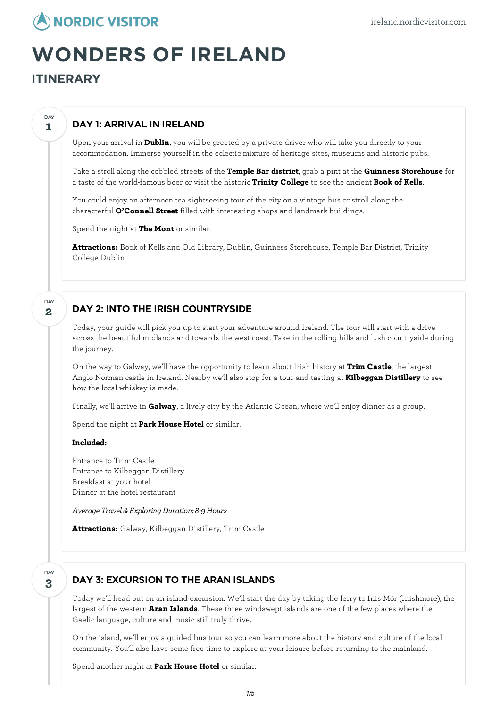

# **WONDERS OF IRELAND**

**ITINERARY**

**1**

DAY

**2**

D<sub>AY</sub>

## DAY 1: ARRIVAL IN IRELAND

Upon your arrival in **Dublin**, you will be greeted by a private driver who will take you directly to your accommodation. Immerse yourself in the eclectic mixture of heritage sites, museums and historic pubs.

Take a stroll along the cobbled streets of the **Temple Bar district**, grab a pint at the **Guinness Storehouse** for a taste of the world-famous beer or visit the historic **Trinity College** to see the ancient **Book of Kells**.

You could enjoy an afternoon tea sightseeing tour of the city on a vintage bus or stroll along the characterful **O'Connell Street** filled with interesting shops and landmark buildings.

Spend the night at **The Mont** or similar.

**Attractions:** Book of Kells and Old Library, Dublin, Guinness Storehouse, Temple Bar District, Trinity College Dublin

## DAY 2: INTO THE IRISH COUNTRYSIDE

Today, your guide will pick you up to start your adventure around Ireland. The tour will start with a drive across the beautiful midlands and towards the west coast. Take in the rolling hills and lush countryside during the journey.

On the way to Galway, we'll have the opportunity to learn about Irish history at **Trim Castle**, the largest Anglo-Norman castle in Ireland. Nearby we'll also stop for a tour and tasting at **Kilbeggan Distillery** to see how the local whiskey is made.

Finally, we'll arrive in **Galway**, a lively city by the Atlantic Ocean, where we'llenjoy dinner as a group.

Spend the night at **Park House Hotel** or similar.

#### **Included:**

Entrance to Trim Castle Entrance to Kilbeggan Distillery Breakfast at your hotel Dinner at the hotel restaurant

*Average Travel & ExploringDuration: 8-9Hours*

**Attractions:** Galway, Kilbeggan Distillery, Trim Castle

### **3** DAY

## DAY 3: EXCURSION TO THE ARAN ISLANDS

Today we'll head out on an island excursion. We'll start the day by taking the ferry to Inis Mór (Inishmore), the largest of the western **Aran Islands**. These three windswept islands are one of the few places where the Gaelic language, culture and music still truly thrive.

On the island, we'llenjoy a guided bus tour so you can learn more about the history and culture of the local community. You'll also have some free time to explore at your leisure before returning to the mainland.

Spend another night at **Park House Hotel** or similar.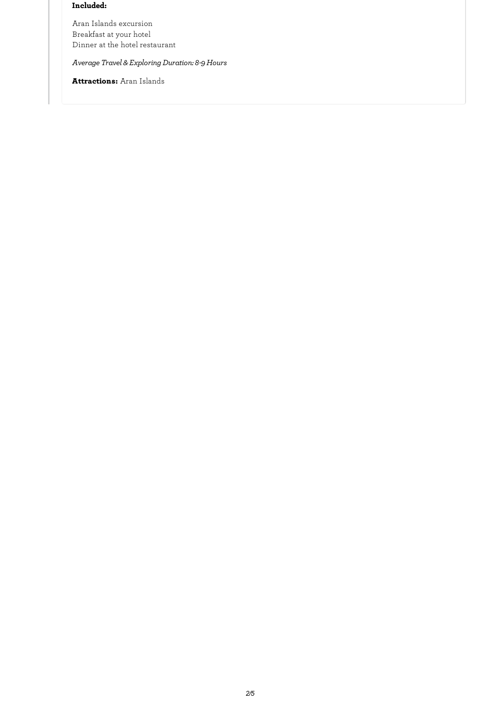#### **Included:**

Aran Islands excursion Breakfast at your hotel Dinner at the hotel restaurant

*Average Travel & ExploringDuration: 8-9Hours*

**Attractions:** Aran Islands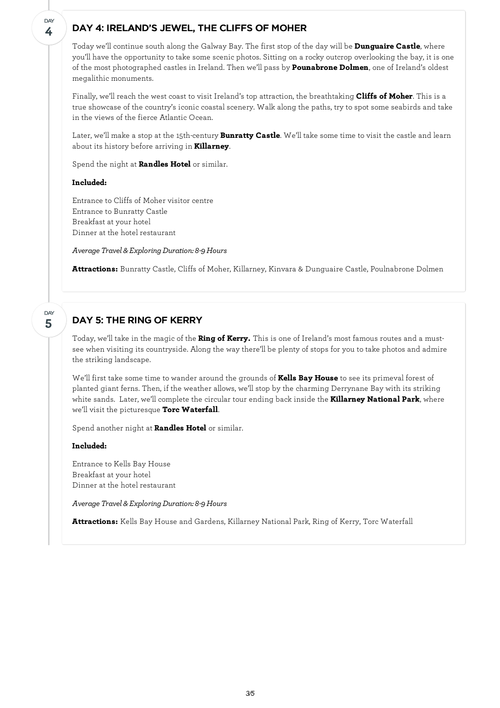## DAY 4: IRELAND'S JEWEL, THE CLIFFS OF MOHER

Today we'll continue south along the Galway Bay. The first stop of the day will be **Dunguaire Castle**, where you'll have the opportunity to take some scenic photos. Sitting on a rocky outcrop overlooking the bay, it is one of the most photographed castles in Ireland. Then we'll pass by **Pounabrone Dolmen**, one of Ireland's oldest megalithic monuments.

Finally, we'll reach the west coast to visit Ireland's top attraction, the breathtaking **Cliffs of Moher**. This is a true showcase of the country's iconic coastal scenery. Walk along the paths, try to spot some seabirds and take in the views of the fierce Atlantic Ocean.

Later, we'll make a stop at the 15th-century **Bunratty Castle**. We'll take some time to visit the castle and learn about its history before arriving in **Killarney**.

Spend the night at **Randles Hotel** or similar.

#### **Included:**

**4**

**DAY** 

**5**

DAY

Entrance to Cliffs of Moher visitor centre Entrance to Bunratty Castle Breakfast at your hotel Dinner at the hotel restaurant

*Average Travel & ExploringDuration: 8-9Hours*

**Attractions:** Bunratty Castle, Cliffs of Moher, Killarney, Kinvara & Dunguaire Castle, Poulnabrone Dolmen

## DAY 5: THE RING OF KERRY

Today, we'll take in the magic of the **Ring of Kerry.** This is one of Ireland's most famous routes and a mustsee when visiting its countryside. Along the way there'll be plenty of stops for you to take photos and admire the striking landscape.

We'll first take some time to wander around the grounds of **Kells Bay House** to see its primeval forest of planted giant ferns. Then, if the weather allows, we'll stop by the charming Derrynane Bay with its striking white sands. Later, we'll complete the circular tour ending back inside the **Killarney National Park**, where we'll visit the picturesque **Torc Waterfall**.

Spend another night at **Randles Hotel** or similar.

#### **Included:**

Entrance to Kells Bay House Breakfast at your hotel Dinner at the hotel restaurant

*Average Travel & ExploringDuration: 8-9Hours*

**Attractions:** Kells Bay House and Gardens, Killarney National Park, Ring of Kerry, Torc Waterfall

*3/5*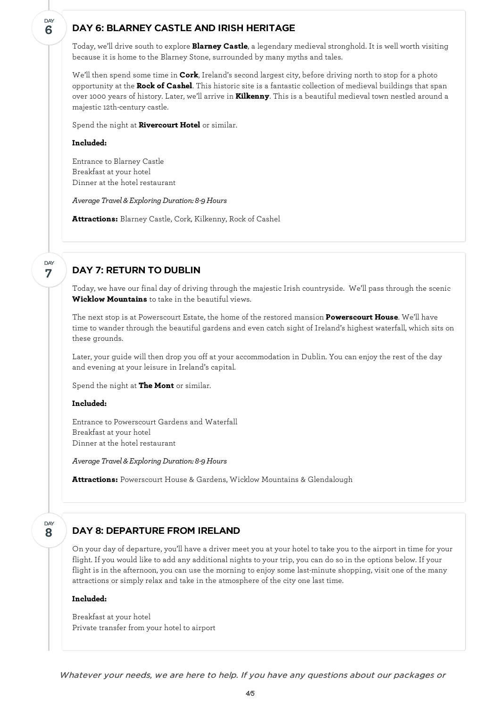## DAY 6: BLARNEY CASTLE AND IRISH HERITAGE

Today, we'll drive south to explore **Blarney Castle**, a legendary medieval stronghold. It is well worth visiting because it is home to the Blarney Stone, surrounded by many myths and tales.

We'll then spend some time in **Cork**, Ireland's second largest city, before driving north to stop for a photo opportunity at the **Rock of Cashel**. This historic site is a fantastic collection of medieval buildings that span over 1000 years of history. Later, we'll arrive in **Kilkenny**. This is a beautiful medieval town nestled around a majestic 12th-century castle.

Spend the night at **Rivercourt Hotel** or similar.

#### **Included:**

Entrance to Blarney Castle Breakfast at your hotel Dinner at the hotel restaurant

*Average Travel & ExploringDuration: 8-9Hours*

**Attractions:** Blarney Castle, Cork, Kilkenny, Rock of Cashel

#### **7** DAY

**6**

DAY

## DAY 7: RETURN TO DUBLIN

Today, we have our final day of driving through the majestic Irish countryside. We'll pass through the scenic **Wicklow Mountains** to take in the beautiful views.

The next stop is at Powerscourt Estate, the home of the restored mansion **Powerscourt House**. We'll have time to wander through the beautiful gardens and even catch sight of Ireland's highest waterfall, which sits on these grounds.

Later, your guide will then drop you off at your accommodation in Dublin. You can enjoy the rest of the day and evening at your leisure in Ireland's capital.

Spend the night at **The Mont** or similar.

#### **Included:**

Entrance to Powerscourt Gardens and Waterfall Breakfast at your hotel Dinner at the hotel restaurant

*Average Travel & ExploringDuration: 8-9Hours*

**Attractions:** Powerscourt House & Gardens, Wicklow Mountains & Glendalough

#### **8 DAY**

## DAY 8: DEPARTURE FROM IRELAND

On your day of departure, you'll have a driver meet you at your hotel to take you to the airport in time for your flight. If you would like to add any additional nights to your trip, you can do so in the options below. If your flight is in the afternoon, you can use the morning to enjoy some last-minute shopping, visit one of the many attractions or simply relax and take in the atmosphere of the city one last time.

#### **Included:**

Breakfast at your hotel Private transfer from your hotel to airport

Whatever your needs, we are here to help. If you have any questions about our packages or